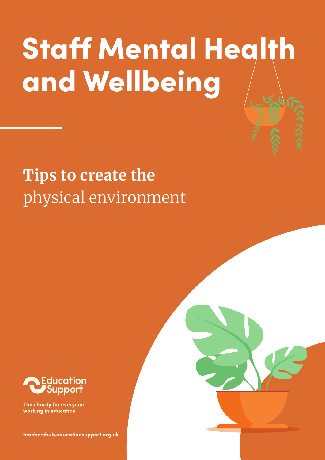# Staff Mental Health and Wellbeing

# **Tips to create the**  physical environment



The charity for everyone working in education

**[teachershub.educationsupport.org.uk](https://teachershub.educationsupport.org.uk)**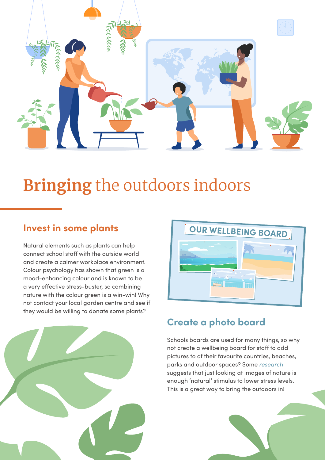

# **Bringing** the outdoors indoors

### **Invest in some plants**

Natural elements such as plants can help connect school staff with the outside world and create a calmer workplace environment. Colour psychology has shown that green is a mood-enhancing colour and is known to be a very effective stress-buster, so combining nature with the colour green is a win-win! Why not contact your local garden centre and see if they would be willing to donate some plants?



### **Create a photo board**

Schools boards are used for many things, so why not create a wellbeing board for staff to add pictures to of their favourite countries, beaches, parks and outdoor spaces? Some *[research](https://www.ncbi.nlm.nih.gov/pmc/articles/PMC4690962/)* suggests that just looking at images of nature is enough 'natural' stimulus to lower stress levels. This is a great way to bring the outdoors in!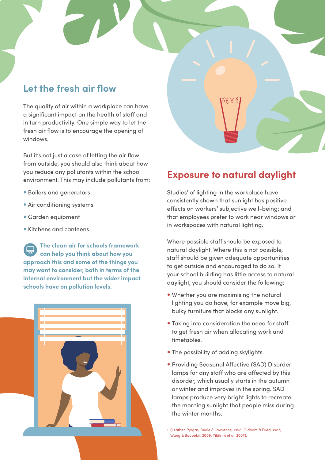#### **Let the fresh air flow**

The quality of air within a workplace can have a significant impact on the health of staff and in turn productivity. One simple way to let the fresh air flow is to encourage the opening of windows.

But it's not just a case of letting the air flow from outside, you should also think about how you reduce any pollutants within the school environment. This may include pollutants from:

- Boilers and generators
- Air conditioning systems
- Garden equipment
- Kitchens and canteens

**[The clean air for schools framework](https://www.transform-our-world.org/clean-air-for-schools-framework) [can help you think about how you](https://www.transform-our-world.org/clean-air-for-schools-framework)  [approach this and some of the things you](https://www.transform-our-world.org/clean-air-for-schools-framework)  [may want to consider, both in terms of the](https://www.transform-our-world.org/clean-air-for-schools-framework)  [internal environment but the wider impact](https://www.transform-our-world.org/clean-air-for-schools-framework)  [schools have on pollution levels.](https://www.transform-our-world.org/clean-air-for-schools-framework)** 



#### **Exposure to natural daylight**

Studies<sup>1</sup> of lighting in the workplace have consistently shown that sunlight has positive effects on workers' subjective well-being; and that employees prefer to work near windows or in workspaces with natural lighting.

Where possible staff should be exposed to natural daylight. Where this is not possible, staff should be given adequate opportunities to get outside and encouraged to do so. If your school building has little access to natural daylight, you should consider the following:

- Whether you are maximising the natural lighting you do have, for example move big, bulky furniture that blocks any sunlight.
- Taking into consideration the need for staff to get fresh air when allocating work and timetables.
- The possibility of adding skylights.
- Providing Seasonal Affective (SAD) Disorder lamps for any staff who are affected by this disorder, which usually starts in the autumn or winter and improves in the spring. SAD lamps produce very bright lights to recreate the morning sunlight that people miss during the winter months.

1. (Leather, Pyrgas, Beale & Lawrence, 1998; Oldham & Fried, 1987; Wang & Boubekri, 2009; Yildirim et al. 2007).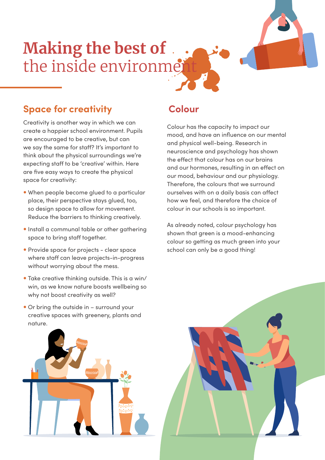# **Making the best of**  the inside environment

### **Space for creativity**

Creativity is another way in which we can create a happier school environment. Pupils are encouraged to be creative, but can we say the same for staff? It's important to think about the physical surroundings we're expecting staff to be 'creative' within. Here are five easy ways to create the physical space for creativity:

- When people become glued to a particular place, their perspective stays glued, too, so design space to allow for movement. Reduce the barriers to thinking creatively.
- Install a communal table or other gathering space to bring staff together.
- Provide space for projects clear space where staff can leave projects-in-progress without worrying about the mess.
- Take creative thinking outside. This is a win/ win, as we know nature boosts wellbeing so why not boost creativity as well?
- Or bring the outside in surround your creative spaces with greenery, plants and nature.

### **Colour**

Colour has the capacity to impact our mood, and have an influence on our mental and physical well-being. Research in neuroscience and psychology has shown the effect that colour has on our brains and our hormones, resulting in an effect on our mood, behaviour and our physiology. Therefore, the colours that we surround ourselves with on a daily basis can affect how we feel, and therefore the choice of colour in our schools is so important.

As already noted, colour psychology has shown that green is a mood-enhancing colour so getting as much green into your school can only be a good thing!

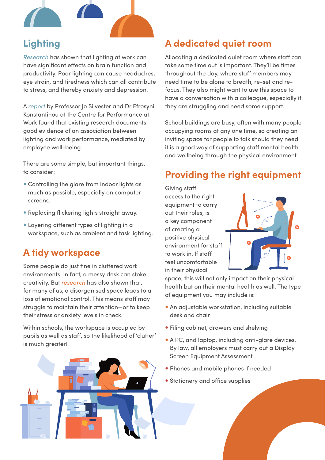

# **Lighting**

*[Research](https://www.sciencedirect.com/science/article/pii/S2212609016300140)* has shown that lighting at work can have significant effects on brain function and productivity. Poor lighting can cause headaches, eye strain, and tiredness which can all contribute to stress, and thereby anxiety and depression.

A *[report](https://www.cass.city.ac.uk/__data/assets/pdf_file/0004/363217/lighting-work-performance-cass.pdf)* by Professor Jo Silvester and Dr Efrosyni Konstantinou at the Centre for Performance at Work found that existing research documents good evidence of an association between lighting and work performance, mediated by employee well-being.

There are some simple, but important things, to consider:

- Controlling the glare from indoor lights as much as possible, especially on computer screens.
- Replacing flickering lights straight away.
- Layering different types of lighting in a workspace, such as ambient and task lighting.

# **A tidy workspace**

Some people do just fine in cluttered work environments. In fact, a messy desk can stoke creativity. But *[research](http://images.transcontinentalmedia.com/LAF/lacom/disorganized_environment.pdf)* has also shown that, for many of us, a disorganised space leads to a loss of emotional control. This means staff may struggle to maintain their attention—or to keep their stress or anxiety levels in check.

Within schools, the workspace is occupied by pupils as well as staff, so the likelihood of 'clutter' is much greater!



# **A dedicated quiet room**

Allocating a dedicated quiet room where staff can take some time out is important. They'll be times throughout the day, where staff members may need time to be alone to breath, re-set and refocus. They also might want to use this space to have a conversation with a colleague, especially if they are struggling and need some support.

School buildings are busy, often with many people occupying rooms at any one time, so creating an inviting space for people to talk should they need it is a good way of supporting staff mental health and wellbeing through the physical environment.

# **Providing the right equipment**

Giving staff access to the right equipment to carry out their roles, is a key component of creating a positive physical environment for staff to work in. If staff feel uncomfortable in their physical



space, this will not only impact on their physical health but on their mental health as well. The type of equipment you may include is:

- An adjustable workstation, including suitable desk and chair
- Filing cabinet, drawers and shelving
- A PC, and laptop, including anti-glare devices. By law, all employers must carry out a Display Screen Equipment Assessment
- Phones and mobile phones if needed
- Stationery and office supplies